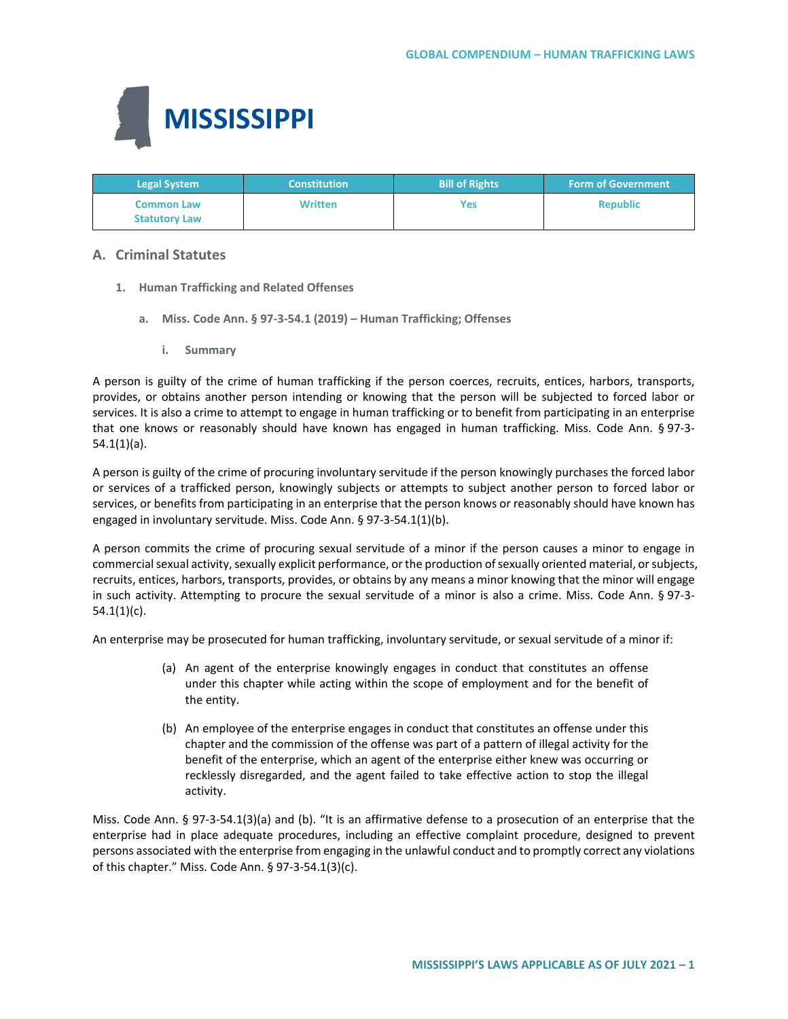

| <b>Legal System</b>                       | <b>Constitution</b> | <b>Bill of Rights</b> | <b>Form of Government</b> |
|-------------------------------------------|---------------------|-----------------------|---------------------------|
| <b>Common Law</b><br><b>Statutory Law</b> | <b>Written</b>      | Yes                   | <b>Republic</b>           |

## **A. Criminal Statutes**

- **1. Human Trafficking and Related Offenses**
	- **a. Miss. Code Ann. § 97-3-54.1 (2019) – Human Trafficking; Offenses**
		- **i. Summary**

A person is guilty of the crime of human trafficking if the person coerces, recruits, entices, harbors, transports, provides, or obtains another person intending or knowing that the person will be subjected to forced labor or services. It is also a crime to attempt to engage in human trafficking or to benefit from participating in an enterprise that one knows or reasonably should have known has engaged in human trafficking. Miss. Code Ann. § 97-3- 54.1(1)(a).

A person is guilty of the crime of procuring involuntary servitude if the person knowingly purchases the forced labor or services of a trafficked person, knowingly subjects or attempts to subject another person to forced labor or services, or benefits from participating in an enterprise that the person knows or reasonably should have known has engaged in involuntary servitude. Miss. Code Ann. § 97-3-54.1(1)(b).

A person commits the crime of procuring sexual servitude of a minor if the person causes a minor to engage in commercial sexual activity, sexually explicit performance, or the production of sexually oriented material, or subjects, recruits, entices, harbors, transports, provides, or obtains by any means a minor knowing that the minor will engage in such activity. Attempting to procure the sexual servitude of a minor is also a crime. Miss. Code Ann. § 97-3-  $54.1(1)(c)$ .

An enterprise may be prosecuted for human trafficking, involuntary servitude, or sexual servitude of a minor if:

- (a) An agent of the enterprise knowingly engages in conduct that constitutes an offense under this chapter while acting within the scope of employment and for the benefit of the entity.
- (b) An employee of the enterprise engages in conduct that constitutes an offense under this chapter and the commission of the offense was part of a pattern of illegal activity for the benefit of the enterprise, which an agent of the enterprise either knew was occurring or recklessly disregarded, and the agent failed to take effective action to stop the illegal activity.

Miss. Code Ann. § 97-3-54.1(3)(a) and (b). "It is an affirmative defense to a prosecution of an enterprise that the enterprise had in place adequate procedures, including an effective complaint procedure, designed to prevent persons associated with the enterprise from engaging in the unlawful conduct and to promptly correct any violations of this chapter." Miss. Code Ann. § 97-3-54.1(3)(c).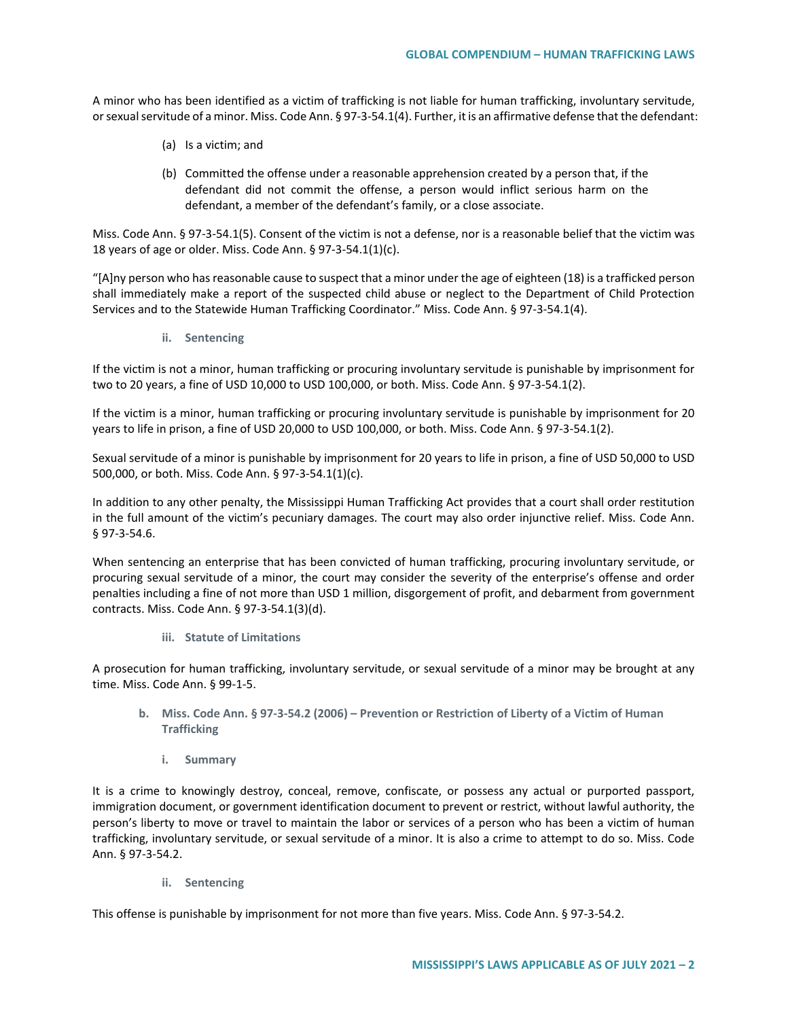A minor who has been identified as a victim of trafficking is not liable for human trafficking, involuntary servitude, or sexual servitude of a minor. Miss. Code Ann. § 97-3-54.1(4). Further, it is an affirmative defense that the defendant:

- (a) Is a victim; and
- (b) Committed the offense under a reasonable apprehension created by a person that, if the defendant did not commit the offense, a person would inflict serious harm on the defendant, a member of the defendant's family, or a close associate.

Miss. Code Ann. § 97-3-54.1(5). Consent of the victim is not a defense, nor is a reasonable belief that the victim was 18 years of age or older. Miss. Code Ann. § 97-3-54.1(1)(c).

"[A]ny person who has reasonable cause to suspect that a minor under the age of eighteen (18) is a trafficked person shall immediately make a report of the suspected child abuse or neglect to the Department of Child Protection Services and to the Statewide Human Trafficking Coordinator." Miss. Code Ann. § 97-3-54.1(4).

**ii. Sentencing**

If the victim is not a minor, human trafficking or procuring involuntary servitude is punishable by imprisonment for two to 20 years, a fine of USD 10,000 to USD 100,000, or both. Miss. Code Ann. § 97-3-54.1(2).

If the victim is a minor, human trafficking or procuring involuntary servitude is punishable by imprisonment for 20 years to life in prison, a fine of USD 20,000 to USD 100,000, or both. Miss. Code Ann. § 97-3-54.1(2).

Sexual servitude of a minor is punishable by imprisonment for 20 years to life in prison, a fine of USD 50,000 to USD 500,000, or both. Miss. Code Ann. § 97-3-54.1(1)(c).

In addition to any other penalty, the Mississippi Human Trafficking Act provides that a court shall order restitution in the full amount of the victim's pecuniary damages. The court may also order injunctive relief. Miss. Code Ann. § 97-3-54.6.

When sentencing an enterprise that has been convicted of human trafficking, procuring involuntary servitude, or procuring sexual servitude of a minor, the court may consider the severity of the enterprise's offense and order penalties including a fine of not more than USD 1 million, disgorgement of profit, and debarment from government contracts. Miss. Code Ann. § 97-3-54.1(3)(d).

**iii. Statute of Limitations** 

A prosecution for human trafficking, involuntary servitude, or sexual servitude of a minor may be brought at any time. Miss. Code Ann. § 99-1-5.

- **b. Miss. Code Ann. § 97-3-54.2 (2006) – Prevention or Restriction of Liberty of a Victim of Human Trafficking**
	- **i. Summary**

It is a crime to knowingly destroy, conceal, remove, confiscate, or possess any actual or purported passport, immigration document, or government identification document to prevent or restrict, without lawful authority, the person's liberty to move or travel to maintain the labor or services of a person who has been a victim of human trafficking, involuntary servitude, or sexual servitude of a minor. It is also a crime to attempt to do so. Miss. Code Ann. § 97-3-54.2.

**ii. Sentencing** 

This offense is punishable by imprisonment for not more than five years. Miss. Code Ann. § 97-3-54.2.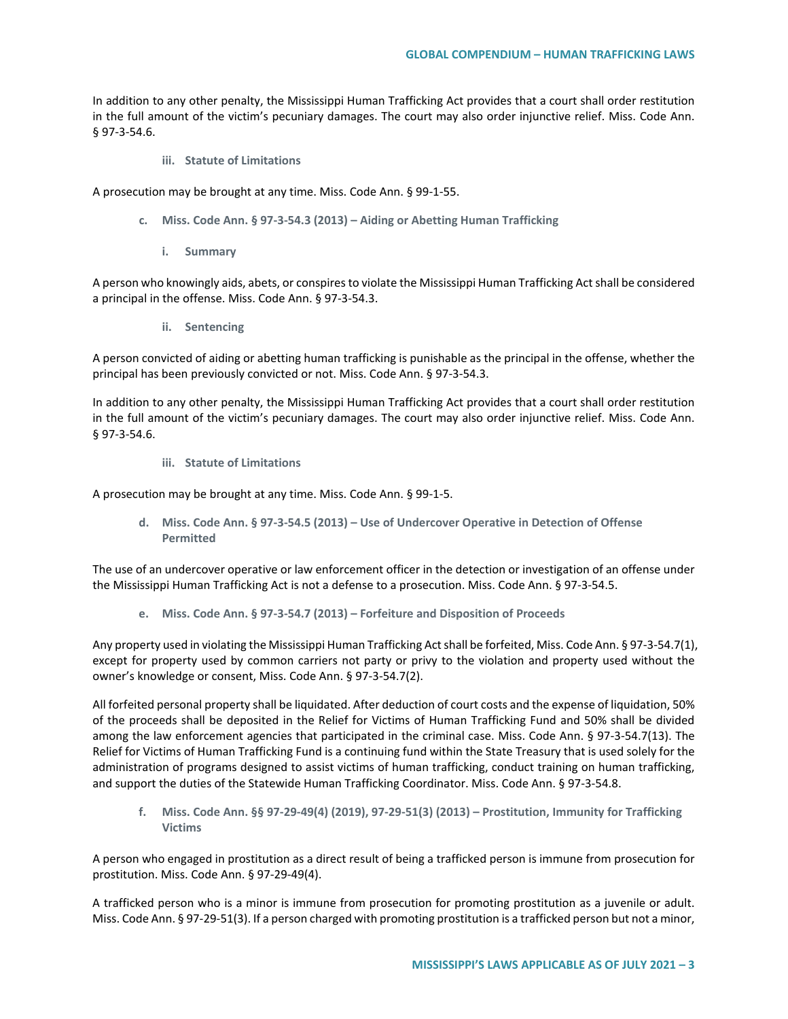In addition to any other penalty, the Mississippi Human Trafficking Act provides that a court shall order restitution in the full amount of the victim's pecuniary damages. The court may also order injunctive relief. Miss. Code Ann. § 97-3-54.6.

**iii. Statute of Limitations** 

A prosecution may be brought at any time. Miss. Code Ann. § 99-1-55.

- **c. Miss. Code Ann. § 97-3-54.3 (2013) – Aiding or Abetting Human Trafficking**
	- **i. Summary**

A person who knowingly aids, abets, or conspires to violate the Mississippi Human Trafficking Act shall be considered a principal in the offense. Miss. Code Ann. § 97-3-54.3.

**ii. Sentencing**

A person convicted of aiding or abetting human trafficking is punishable as the principal in the offense, whether the principal has been previously convicted or not. Miss. Code Ann. § 97-3-54.3.

In addition to any other penalty, the Mississippi Human Trafficking Act provides that a court shall order restitution in the full amount of the victim's pecuniary damages. The court may also order injunctive relief. Miss. Code Ann. § 97-3-54.6.

**iii. Statute of Limitations**

A prosecution may be brought at any time. Miss. Code Ann. § 99-1-5.

**d. Miss. Code Ann. § 97-3-54.5 (2013) – Use of Undercover Operative in Detection of Offense Permitted**

The use of an undercover operative or law enforcement officer in the detection or investigation of an offense under the Mississippi Human Trafficking Act is not a defense to a prosecution. Miss. Code Ann. § 97-3-54.5.

**e. Miss. Code Ann. § 97-3-54.7 (2013) – Forfeiture and Disposition of Proceeds**

Any property used in violating the Mississippi Human Trafficking Act shall be forfeited, Miss. Code Ann. § 97-3-54.7(1), except for property used by common carriers not party or privy to the violation and property used without the owner's knowledge or consent, Miss. Code Ann. § 97-3-54.7(2).

All forfeited personal property shall be liquidated. After deduction of court costs and the expense of liquidation, 50% of the proceeds shall be deposited in the Relief for Victims of Human Trafficking Fund and 50% shall be divided among the law enforcement agencies that participated in the criminal case. Miss. Code Ann. § 97-3-54.7(13). The Relief for Victims of Human Trafficking Fund is a continuing fund within the State Treasury that is used solely for the administration of programs designed to assist victims of human trafficking, conduct training on human trafficking, and support the duties of the Statewide Human Trafficking Coordinator. Miss. Code Ann. § 97-3-54.8.

**f. Miss. Code Ann. §§ 97-29-49(4) (2019), 97-29-51(3) (2013) – Prostitution, Immunity for Trafficking Victims** 

A person who engaged in prostitution as a direct result of being a trafficked person is immune from prosecution for prostitution. Miss. Code Ann. § 97-29-49(4).

A trafficked person who is a minor is immune from prosecution for promoting prostitution as a juvenile or adult. Miss. Code Ann. § 97-29-51(3). If a person charged with promoting prostitution is a trafficked person but not a minor,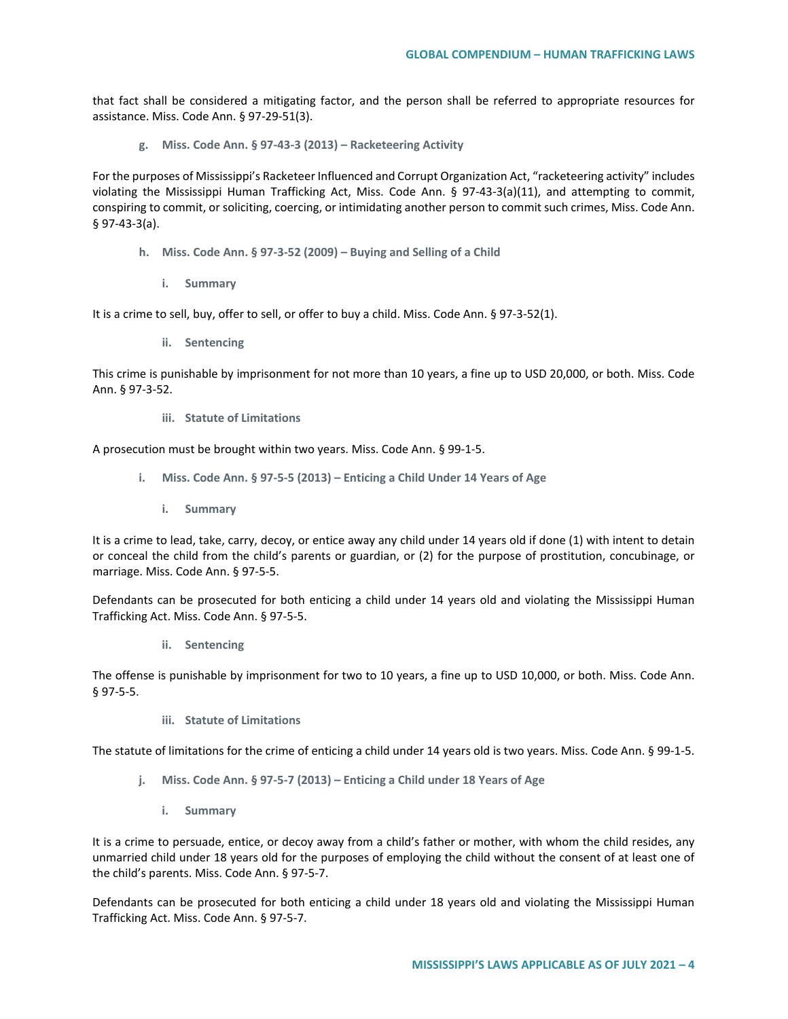that fact shall be considered a mitigating factor, and the person shall be referred to appropriate resources for assistance. Miss. Code Ann. § 97-29-51(3).

**g. Miss. Code Ann. § 97-43-3 (2013) – Racketeering Activity**

For the purposes of Mississippi's Racketeer Influenced and Corrupt Organization Act, "racketeering activity" includes violating the Mississippi Human Trafficking Act, Miss. Code Ann. § 97-43-3(a)(11), and attempting to commit, conspiring to commit, or soliciting, coercing, or intimidating another person to commit such crimes, Miss. Code Ann. § 97-43-3(a).

- **h. Miss. Code Ann. § 97-3-52 (2009) – Buying and Selling of a Child**
	- **i. Summary**

It is a crime to sell, buy, offer to sell, or offer to buy a child. Miss. Code Ann. § 97-3-52(1).

**ii. Sentencing**

This crime is punishable by imprisonment for not more than 10 years, a fine up to USD 20,000, or both. Miss. Code Ann. § 97-3-52.

**iii. Statute of Limitations**

A prosecution must be brought within two years. Miss. Code Ann. § 99-1-5.

- **i. Miss. Code Ann. § 97-5-5 (2013) – Enticing a Child Under 14 Years of Age**
	- **i. Summary**

It is a crime to lead, take, carry, decoy, or entice away any child under 14 years old if done (1) with intent to detain or conceal the child from the child's parents or guardian, or (2) for the purpose of prostitution, concubinage, or marriage. Miss. Code Ann. § 97-5-5.

Defendants can be prosecuted for both enticing a child under 14 years old and violating the Mississippi Human Trafficking Act. Miss. Code Ann. § 97-5-5.

**ii. Sentencing**

The offense is punishable by imprisonment for two to 10 years, a fine up to USD 10,000, or both. Miss. Code Ann. § 97-5-5.

**iii. Statute of Limitations**

The statute of limitations for the crime of enticing a child under 14 years old is two years. Miss. Code Ann. § 99-1-5.

- **j. Miss. Code Ann. § 97-5-7 (2013) – Enticing a Child under 18 Years of Age**
	- **i. Summary**

It is a crime to persuade, entice, or decoy away from a child's father or mother, with whom the child resides, any unmarried child under 18 years old for the purposes of employing the child without the consent of at least one of the child's parents. Miss. Code Ann. § 97-5-7.

Defendants can be prosecuted for both enticing a child under 18 years old and violating the Mississippi Human Trafficking Act. Miss. Code Ann. § 97-5-7.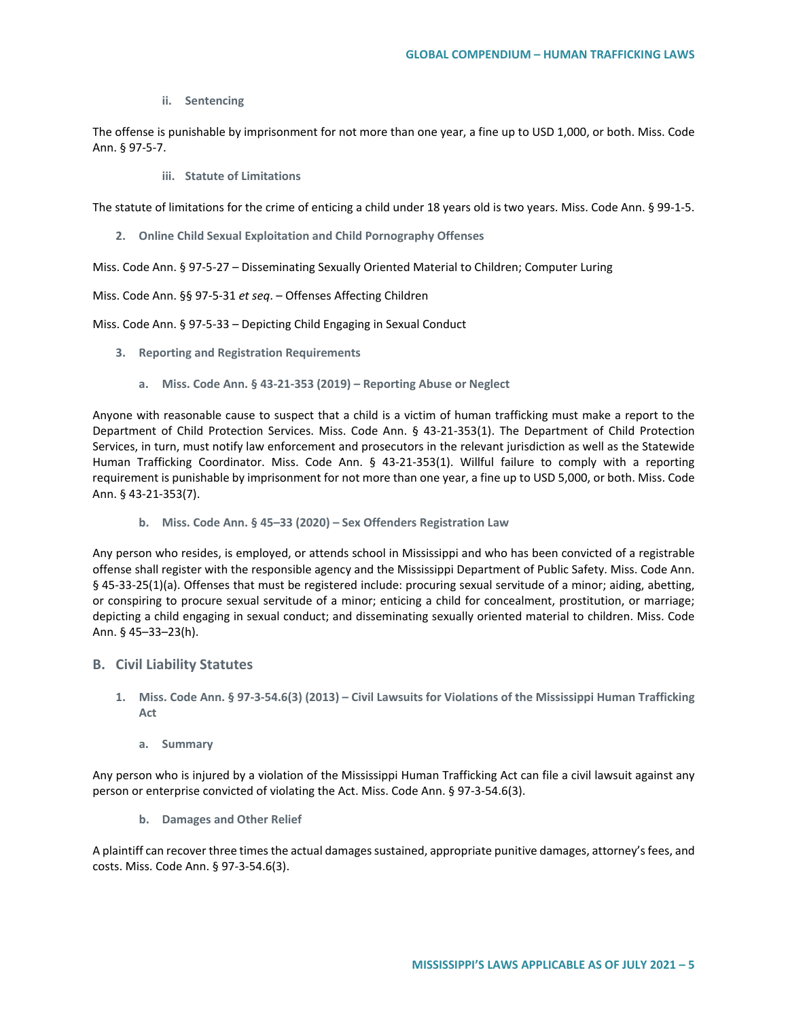**ii. Sentencing**

The offense is punishable by imprisonment for not more than one year, a fine up to USD 1,000, or both. Miss. Code Ann. § 97-5-7.

**iii. Statute of Limitations**

The statute of limitations for the crime of enticing a child under 18 years old is two years. Miss. Code Ann. § 99-1-5.

**2. Online Child Sexual Exploitation and Child Pornography Offenses**

Miss. Code Ann. § 97-5-27 – Disseminating Sexually Oriented Material to Children; Computer Luring

Miss. Code Ann. §§ 97-5-31 *et seq*. – Offenses Affecting Children

Miss. Code Ann. § 97-5-33 – Depicting Child Engaging in Sexual Conduct

- **3. Reporting and Registration Requirements**
	- **a. Miss. Code Ann. § 43-21-353 (2019) – Reporting Abuse or Neglect**

Anyone with reasonable cause to suspect that a child is a victim of human trafficking must make a report to the Department of Child Protection Services. Miss. Code Ann. § 43-21-353(1). The Department of Child Protection Services, in turn, must notify law enforcement and prosecutors in the relevant jurisdiction as well as the Statewide Human Trafficking Coordinator. Miss. Code Ann. § 43-21-353(1). Willful failure to comply with a reporting requirement is punishable by imprisonment for not more than one year, a fine up to USD 5,000, or both. Miss. Code Ann. § 43-21-353(7).

**b. Miss. Code Ann. § 45–33 (2020) – Sex Offenders Registration Law**

Any person who resides, is employed, or attends school in Mississippi and who has been convicted of a registrable offense shall register with the responsible agency and the Mississippi Department of Public Safety. Miss. Code Ann. § 45-33-25(1)(a). Offenses that must be registered include: procuring sexual servitude of a minor; aiding, abetting, or conspiring to procure sexual servitude of a minor; enticing a child for concealment, prostitution, or marriage; depicting a child engaging in sexual conduct; and disseminating sexually oriented material to children. Miss. Code Ann. § 45–33–23(h).

# **B. Civil Liability Statutes**

- **1. Miss. Code Ann. § 97-3-54.6(3) (2013) – Civil Lawsuits for Violations of the Mississippi Human Trafficking Act**
	- **a. Summary**

Any person who is injured by a violation of the Mississippi Human Trafficking Act can file a civil lawsuit against any person or enterprise convicted of violating the Act. Miss. Code Ann. § 97-3-54.6(3).

**b. Damages and Other Relief**

A plaintiff can recover three times the actual damages sustained, appropriate punitive damages, attorney's fees, and costs. Miss. Code Ann. § 97-3-54.6(3).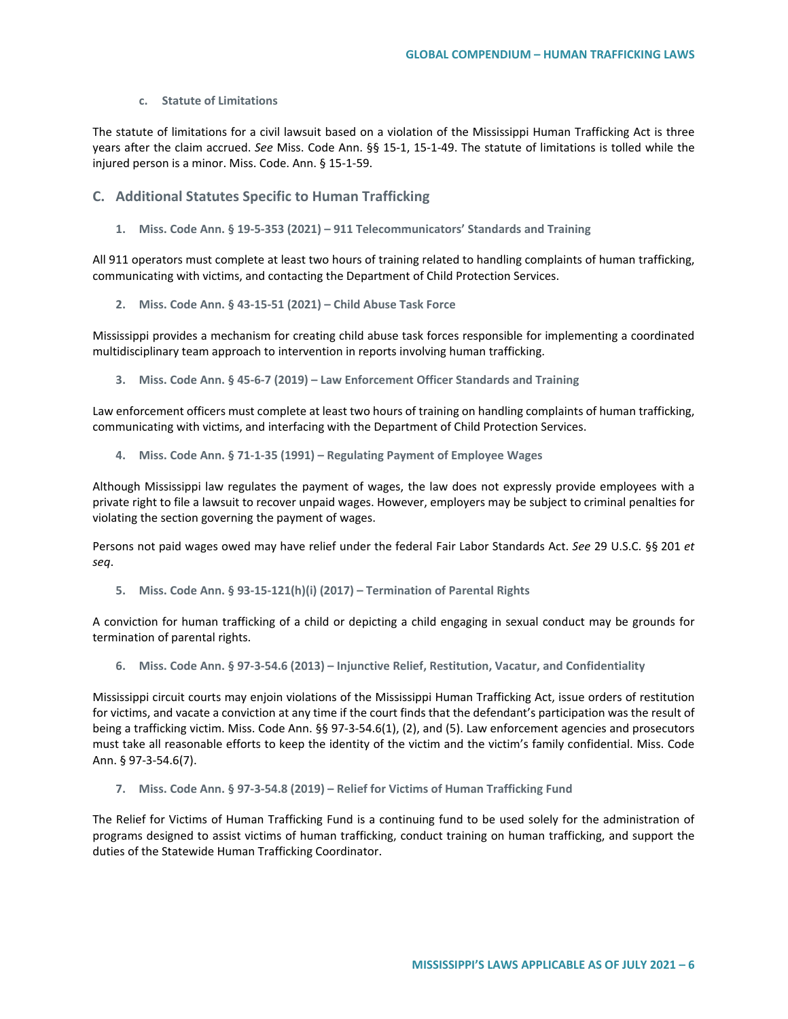#### **c. Statute of Limitations**

The statute of limitations for a civil lawsuit based on a violation of the Mississippi Human Trafficking Act is three years after the claim accrued. *See* Miss. Code Ann. §§ 15-1, 15-1-49. The statute of limitations is tolled while the injured person is a minor. Miss. Code. Ann. § 15-1-59.

### **C. Additional Statutes Specific to Human Trafficking**

**1. Miss. Code Ann. § 19-5-353 (2021) – 911 Telecommunicators' Standards and Training**

All 911 operators must complete at least two hours of training related to handling complaints of human trafficking, communicating with victims, and contacting the Department of Child Protection Services.

**2. Miss. Code Ann. § 43-15-51 (2021) – Child Abuse Task Force**

Mississippi provides a mechanism for creating child abuse task forces responsible for implementing a coordinated multidisciplinary team approach to intervention in reports involving human trafficking.

**3. Miss. Code Ann. § 45-6-7 (2019) – Law Enforcement Officer Standards and Training**

Law enforcement officers must complete at least two hours of training on handling complaints of human trafficking, communicating with victims, and interfacing with the Department of Child Protection Services.

**4. Miss. Code Ann. § 71-1-35 (1991) – Regulating Payment of Employee Wages** 

Although Mississippi law regulates the payment of wages, the law does not expressly provide employees with a private right to file a lawsuit to recover unpaid wages. However, employers may be subject to criminal penalties for violating the section governing the payment of wages.

Persons not paid wages owed may have relief under the federal Fair Labor Standards Act. *See* 29 U.S.C. §§ 201 *et seq*.

**5. Miss. Code Ann. § 93-15-121(h)(i) (2017) – Termination of Parental Rights** 

A conviction for human trafficking of a child or depicting a child engaging in sexual conduct may be grounds for termination of parental rights.

**6. Miss. Code Ann. § 97-3-54.6 (2013) – Injunctive Relief, Restitution, Vacatur, and Confidentiality**

Mississippi circuit courts may enjoin violations of the Mississippi Human Trafficking Act, issue orders of restitution for victims, and vacate a conviction at any time if the court finds that the defendant's participation was the result of being a trafficking victim. Miss. Code Ann. §§ 97-3-54.6(1), (2), and (5). Law enforcement agencies and prosecutors must take all reasonable efforts to keep the identity of the victim and the victim's family confidential. Miss. Code Ann. § 97-3-54.6(7).

**7. Miss. Code Ann. § 97-3-54.8 (2019) – Relief for Victims of Human Trafficking Fund**

The Relief for Victims of Human Trafficking Fund is a continuing fund to be used solely for the administration of programs designed to assist victims of human trafficking, conduct training on human trafficking, and support the duties of the Statewide Human Trafficking Coordinator.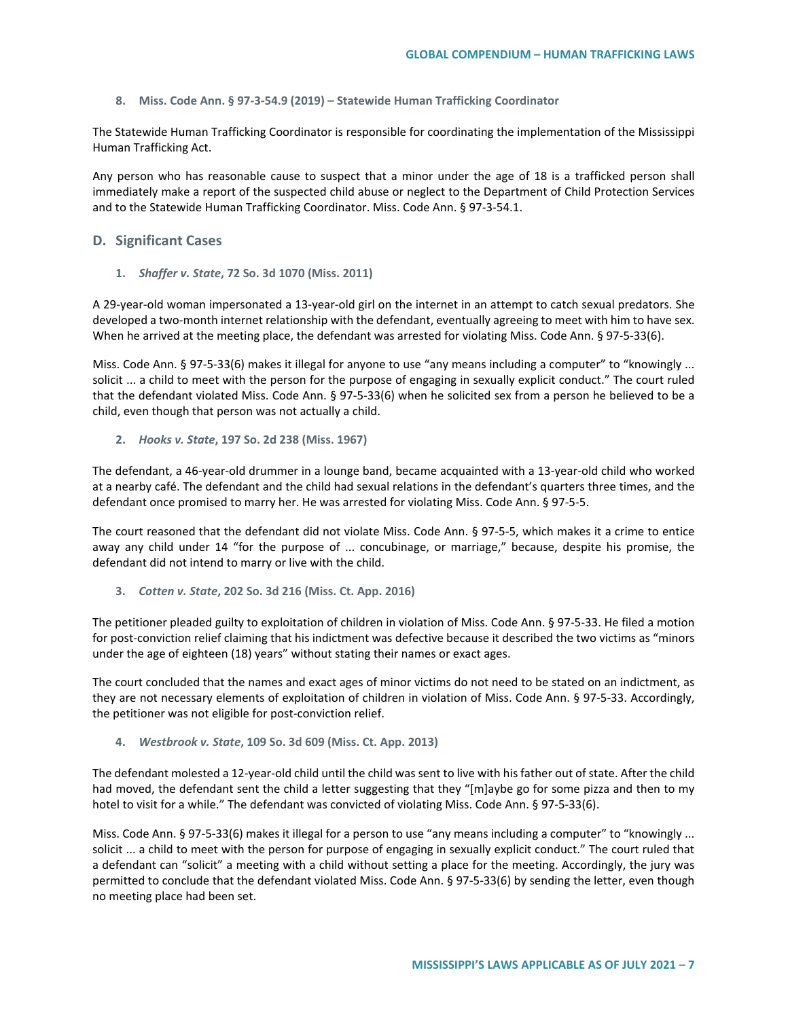**8. Miss. Code Ann. § 97-3-54.9 (2019) – Statewide Human Trafficking Coordinator**

The Statewide Human Trafficking Coordinator is responsible for coordinating the implementation of the Mississippi Human Trafficking Act.

Any person who has reasonable cause to suspect that a minor under the age of 18 is a trafficked person shall immediately make a report of the suspected child abuse or neglect to the Department of Child Protection Services and to the Statewide Human Trafficking Coordinator. Miss. Code Ann. § 97-3-54.1.

# **D. Significant Cases**

**1.** *Shaffer v. State***, 72 So. 3d 1070 (Miss. 2011)**

A 29-year-old woman impersonated a 13-year-old girl on the internet in an attempt to catch sexual predators. She developed a two-month internet relationship with the defendant, eventually agreeing to meet with him to have sex. When he arrived at the meeting place, the defendant was arrested for violating Miss. Code Ann. § 97-5-33(6).

Miss. Code Ann. § 97-5-33(6) makes it illegal for anyone to use "any means including a computer" to "knowingly ... solicit ... a child to meet with the person for the purpose of engaging in sexually explicit conduct." The court ruled that the defendant violated Miss. Code Ann. § 97-5-33(6) when he solicited sex from a person he believed to be a child, even though that person was not actually a child.

**2.** *Hooks v. State***, 197 So. 2d 238 (Miss. 1967)**

The defendant, a 46-year-old drummer in a lounge band, became acquainted with a 13-year-old child who worked at a nearby café. The defendant and the child had sexual relations in the defendant's quarters three times, and the defendant once promised to marry her. He was arrested for violating Miss. Code Ann. § 97-5-5.

The court reasoned that the defendant did not violate Miss. Code Ann. § 97-5-5, which makes it a crime to entice away any child under 14 "for the purpose of ... concubinage, or marriage," because, despite his promise, the defendant did not intend to marry or live with the child.

**3.** *Cotten v. State***, 202 So. 3d 216 (Miss. Ct. App. 2016)**

The petitioner pleaded guilty to exploitation of children in violation of Miss. Code Ann. § 97-5-33. He filed a motion for post-conviction relief claiming that his indictment was defective because it described the two victims as "minors under the age of eighteen (18) years" without stating their names or exact ages.

The court concluded that the names and exact ages of minor victims do not need to be stated on an indictment, as they are not necessary elements of exploitation of children in violation of Miss. Code Ann. § 97-5-33. Accordingly, the petitioner was not eligible for post-conviction relief.

**4.** *Westbrook v. State***, 109 So. 3d 609 (Miss. Ct. App. 2013)**

The defendant molested a 12-year-old child until the child was sent to live with his father out of state. After the child had moved, the defendant sent the child a letter suggesting that they "[m]aybe go for some pizza and then to my hotel to visit for a while." The defendant was convicted of violating Miss. Code Ann. § 97-5-33(6).

Miss. Code Ann. § 97-5-33(6) makes it illegal for a person to use "any means including a computer" to "knowingly ... solicit ... a child to meet with the person for purpose of engaging in sexually explicit conduct." The court ruled that a defendant can "solicit" a meeting with a child without setting a place for the meeting. Accordingly, the jury was permitted to conclude that the defendant violated Miss. Code Ann. § 97-5-33(6) by sending the letter, even though no meeting place had been set.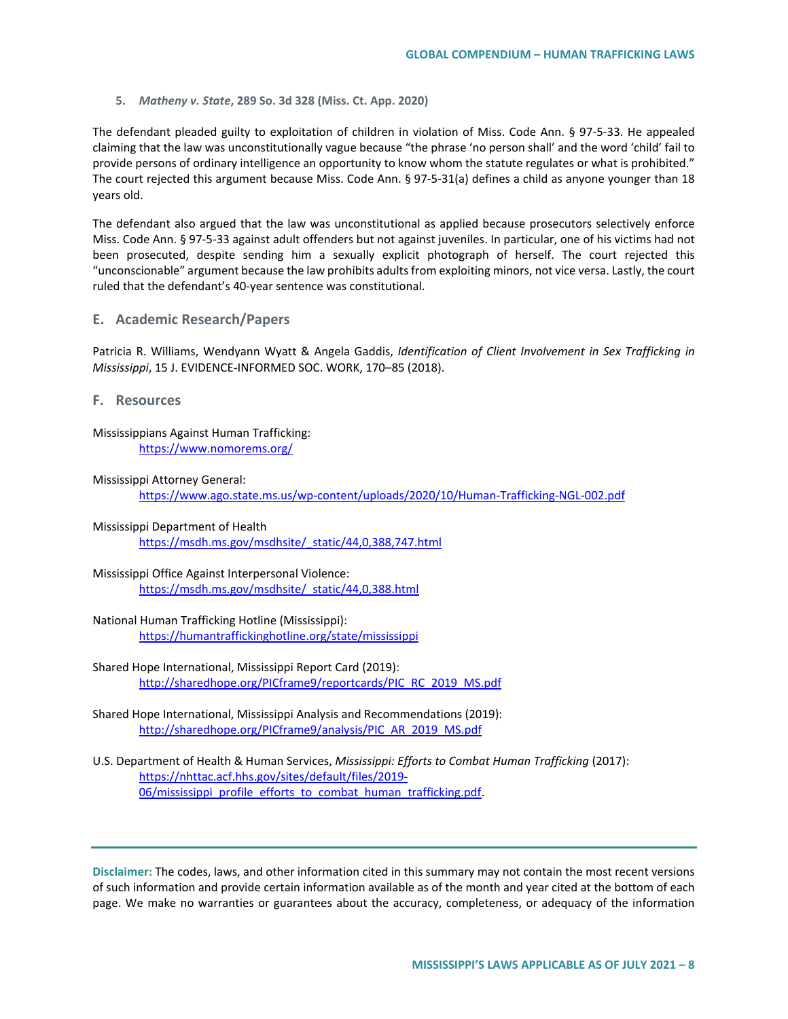**5.** *Matheny v. State***, 289 So. 3d 328 (Miss. Ct. App. 2020)**

The defendant pleaded guilty to exploitation of children in violation of Miss. Code Ann. § 97-5-33. He appealed claiming that the law was unconstitutionally vague because "the phrase 'no person shall' and the word 'child' fail to provide persons of ordinary intelligence an opportunity to know whom the statute regulates or what is prohibited." The court rejected this argument because Miss. Code Ann. § 97-5-31(a) defines a child as anyone younger than 18 years old.

The defendant also argued that the law was unconstitutional as applied because prosecutors selectively enforce Miss. Code Ann. § 97-5-33 against adult offenders but not against juveniles. In particular, one of his victims had not been prosecuted, despite sending him a sexually explicit photograph of herself. The court rejected this "unconscionable" argument because the law prohibits adults from exploiting minors, not vice versa. Lastly, the court ruled that the defendant's 40-year sentence was constitutional.

### **E. Academic Research/Papers**

Patricia R. Williams, Wendyann Wyatt & Angela Gaddis, *Identification of Client Involvement in Sex Trafficking in Mississippi*, 15 J. EVIDENCE-INFORMED SOC. WORK, 170–85 (2018).

**F. Resources**

### Mississippians Against Human Trafficking: <https://www.nomorems.org/>

#### Mississippi Attorney General:

<https://www.ago.state.ms.us/wp-content/uploads/2020/10/Human-Trafficking-NGL-002.pdf>

- Mississippi Department of Health [https://msdh.ms.gov/msdhsite/\\_static/44,0,388,747.html](https://msdh.ms.gov/msdhsite/_static/44,0,388,747.html)
- Mississippi Office Against Interpersonal Violence: [https://msdh.ms.gov/msdhsite/\\_static/44,0,388.html](https://msdh.ms.gov/msdhsite/_static/44,0,388.html)
- National Human Trafficking Hotline (Mississippi): <https://humantraffickinghotline.org/state/mississippi>
- Shared Hope International, Mississippi Report Card (2019): [http://sharedhope.org/PICframe9/reportcards/PIC\\_RC\\_2019\\_MS.pdf](http://sharedhope.org/PICframe9/reportcards/PIC_RC_2019_MS.pdf)
- Shared Hope International, Mississippi Analysis and Recommendations (2019): [http://sharedhope.org/PICframe9/analysis/PIC\\_AR\\_2019\\_MS.pdf](http://sharedhope.org/PICframe9/analysis/PIC_AR_2019_MS.pdf)
- U.S. Department of Health & Human Services, *Mississippi: Efforts to Combat Human Trafficking* (2017): [https://nhttac.acf.hhs.gov/sites/default/files/2019-](https://nhttac.acf.hhs.gov/sites/default/files/2019-06/mississippi_profile_efforts_to_combat_human_trafficking.pdf) [06/mississippi\\_profile\\_efforts\\_to\\_combat\\_human\\_trafficking.pdf.](https://nhttac.acf.hhs.gov/sites/default/files/2019-06/mississippi_profile_efforts_to_combat_human_trafficking.pdf)

**Disclaimer:** The codes, laws, and other information cited in this summary may not contain the most recent versions of such information and provide certain information available as of the month and year cited at the bottom of each page. We make no warranties or guarantees about the accuracy, completeness, or adequacy of the information